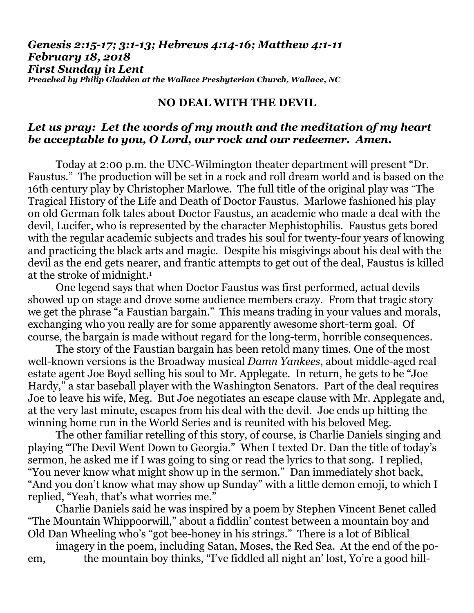*Genesis 2:15-17; 3:1-13; Hebrews 4:14-16; Matthew 4:1-11 February 18, 2018 First Sunday in Lent Preached by Philip Gladden at the Wallace Presbyterian Church, Wallace, NC*

## **NO DEAL WITH THE DEVIL**

## *Let us pray: Let the words of my mouth and the meditation of my heart be acceptable to you, O Lord, our rock and our redeemer. Amen.*

Today at 2:00 p.m. the UNC-Wilmington theater department will present "Dr. Faustus." The production will be set in a rock and roll dream world and is based on the 16th century play by Christopher Marlowe. The full title of the original play was "The Tragical History of the Life and Death of Doctor Faustus. Marlowe fashioned his play on old German folk tales about Doctor Faustus, an academic who made a deal with the devil, Lucifer, who is represented by the character Mephistophilis. Faustus gets bored with the regular academic subjects and trades his soul for twenty-four years of knowing and practicing the black arts and magic. Despite his misgivings about his deal with the devil as the end gets nearer, and frantic attempts to get out of the deal, Faustus is killed at the stroke of midnight.<sup>1</sup>

One legend says that when Doctor Faustus was first performed, actual devils showed up on stage and drove some audience members crazy. From that tragic story we get the phrase "a Faustian bargain." This means trading in your values and morals, exchanging who you really are for some apparently awesome short-term goal. Of course, the bargain is made without regard for the long-term, horrible consequences.

The story of the Faustian bargain has been retold many times. One of the most well-known versions is the Broadway musical *Damn Yankees*, about middle-aged real estate agent Joe Boyd selling his soul to Mr. Applegate. In return, he gets to be "Joe Hardy," a star baseball player with the Washington Senators. Part of the deal requires Joe to leave his wife, Meg. But Joe negotiates an escape clause with Mr. Applegate and, at the very last minute, escapes from his deal with the devil. Joe ends up hitting the winning home run in the World Series and is reunited with his beloved Meg.

The other familiar retelling of this story, of course, is Charlie Daniels singing and playing "The Devil Went Down to Georgia." When I texted Dr. Dan the title of today's sermon, he asked me if I was going to sing or read the lyrics to that song. I replied, "You never know what might show up in the sermon." Dan immediately shot back, "And you don't know what may show up Sunday" with a little demon emoji, to which I replied, "Yeah, that's what worries me."

Charlie Daniels said he was inspired by a poem by Stephen Vincent Benet called "The Mountain Whippoorwill," about a fiddlin' contest between a mountain boy and Old Dan Wheeling who's "got bee-honey in his strings." There is a lot of Biblical

imagery in the poem, including Satan, Moses, the Red Sea. At the end of the poem, the mountain boy thinks, "I've fiddled all night an' lost, Yo're a good hill-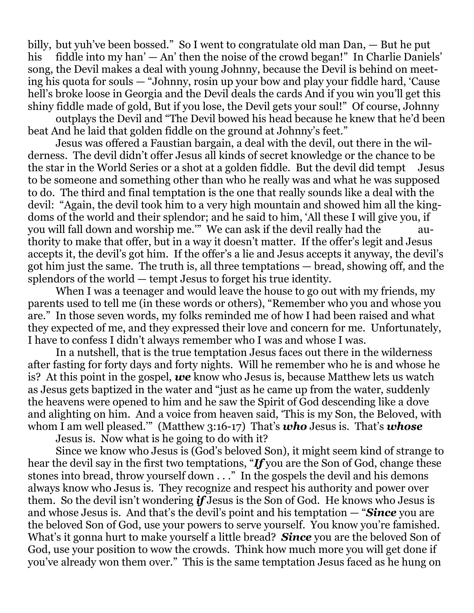billy, but yuh've been bossed." So I went to congratulate old man Dan, — But he put his fiddle into my han' — An' then the noise of the crowd began!" In Charlie Daniels' song, the Devil makes a deal with young Johnny, because the Devil is behind on meeting his quota for souls — "Johnny, rosin up your bow and play your fiddle hard, 'Cause hell's broke loose in Georgia and the Devil deals the cards And if you win you'll get this shiny fiddle made of gold, But if you lose, the Devil gets your soul!" Of course, Johnny

outplays the Devil and "The Devil bowed his head because he knew that he'd been beat And he laid that golden fiddle on the ground at Johnny's feet."

Jesus was offered a Faustian bargain, a deal with the devil, out there in the wilderness. The devil didn't offer Jesus all kinds of secret knowledge or the chance to be the star in the World Series or a shot at a golden fiddle. But the devil did tempt Jesus to be someone and something other than who he really was and what he was supposed to do. The third and final temptation is the one that really sounds like a deal with the devil: "Again, the devil took him to a very high mountain and showed him all the kingdoms of the world and their splendor; and he said to him, 'All these I will give you, if you will fall down and worship me."" We can ask if the devil really had the authority to make that offer, but in a way it doesn't matter. If the offer's legit and Jesus accepts it, the devil's got him. If the offer's a lie and Jesus accepts it anyway, the devil's got him just the same. The truth is, all three temptations — bread, showing off, and the splendors of the world — tempt Jesus to forget his true identity.

When I was a teenager and would leave the house to go out with my friends, my parents used to tell me (in these words or others), "Remember who you and whose you are." In those seven words, my folks reminded me of how I had been raised and what they expected of me, and they expressed their love and concern for me. Unfortunately, I have to confess I didn't always remember who I was and whose I was.

In a nutshell, that is the true temptation Jesus faces out there in the wilderness after fasting for forty days and forty nights. Will he remember who he is and whose he is? At this point in the gospel, *we* know who Jesus is, because Matthew lets us watch as Jesus gets baptized in the water and "just as he came up from the water, suddenly the heavens were opened to him and he saw the Spirit of God descending like a dove and alighting on him. And a voice from heaven said, 'This is my Son, the Beloved, with whom I am well pleased.'" (Matthew 3:16-17) That's *who* Jesus is. That's *whose*

Jesus is. Now what is he going to do with it?

Since we know who Jesus is (God's beloved Son), it might seem kind of strange to hear the devil say in the first two temptations, "*If* you are the Son of God, change these stones into bread, throw yourself down . . ." In the gospels the devil and his demons always know who Jesus is. They recognize and respect his authority and power over them. So the devil isn't wondering *if* Jesus is the Son of God. He knows who Jesus is and whose Jesus is. And that's the devil's point and his temptation — "*Since* you are the beloved Son of God, use your powers to serve yourself. You know you're famished. What's it gonna hurt to make yourself a little bread? *Since* you are the beloved Son of God, use your position to wow the crowds. Think how much more you will get done if you've already won them over." This is the same temptation Jesus faced as he hung on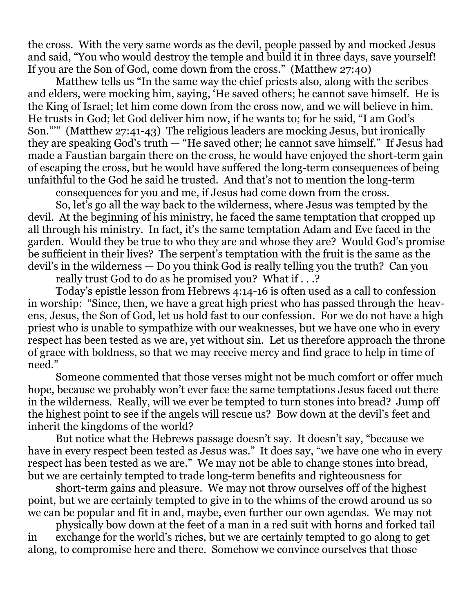the cross. With the very same words as the devil, people passed by and mocked Jesus and said, "You who would destroy the temple and build it in three days, save yourself! If you are the Son of God, come down from the cross." (Matthew 27:40)

Matthew tells us "In the same way the chief priests also, along with the scribes and elders, were mocking him, saying, 'He saved others; he cannot save himself. He is the King of Israel; let him come down from the cross now, and we will believe in him. He trusts in God; let God deliver him now, if he wants to; for he said, "I am God's Son."'" (Matthew 27:41-43) The religious leaders are mocking Jesus, but ironically they are speaking God's truth — "He saved other; he cannot save himself." If Jesus had made a Faustian bargain there on the cross, he would have enjoyed the short-term gain of escaping the cross, but he would have suffered the long-term consequences of being unfaithful to the God he said he trusted. And that's not to mention the long-term

consequences for you and me, if Jesus had come down from the cross.

So, let's go all the way back to the wilderness, where Jesus was tempted by the devil. At the beginning of his ministry, he faced the same temptation that cropped up all through his ministry. In fact, it's the same temptation Adam and Eve faced in the garden. Would they be true to who they are and whose they are? Would God's promise be sufficient in their lives? The serpent's temptation with the fruit is the same as the devil's in the wilderness — Do you think God is really telling you the truth? Can you

really trust God to do as he promised you? What if . . .?

Today's epistle lesson from Hebrews 4:14-16 is often used as a call to confession in worship: "Since, then, we have a great high priest who has passed through the heavens, Jesus, the Son of God, let us hold fast to our confession. For we do not have a high priest who is unable to sympathize with our weaknesses, but we have one who in every respect has been tested as we are, yet without sin. Let us therefore approach the throne of grace with boldness, so that we may receive mercy and find grace to help in time of need."

Someone commented that those verses might not be much comfort or offer much hope, because we probably won't ever face the same temptations Jesus faced out there in the wilderness. Really, will we ever be tempted to turn stones into bread? Jump off the highest point to see if the angels will rescue us? Bow down at the devil's feet and inherit the kingdoms of the world?

But notice what the Hebrews passage doesn't say. It doesn't say, "because we have in every respect been tested as Jesus was." It does say, "we have one who in every respect has been tested as we are." We may not be able to change stones into bread, but we are certainly tempted to trade long-term benefits and righteousness for

short-term gains and pleasure. We may not throw ourselves off of the highest point, but we are certainly tempted to give in to the whims of the crowd around us so we can be popular and fit in and, maybe, even further our own agendas. We may not

physically bow down at the feet of a man in a red suit with horns and forked tail in exchange for the world's riches, but we are certainly tempted to go along to get along, to compromise here and there. Somehow we convince ourselves that those